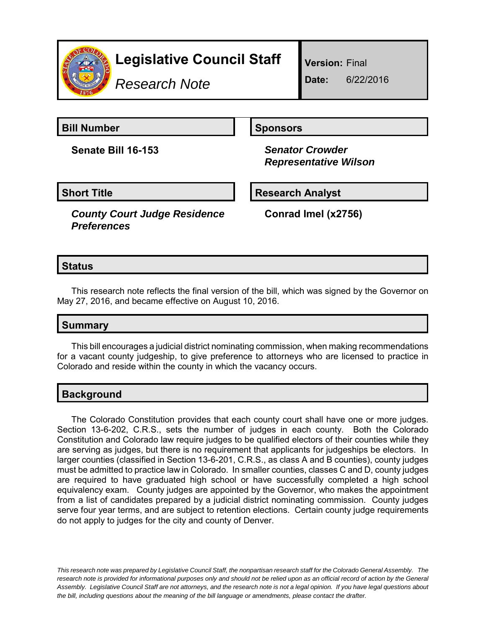

*Research Note*

**Version:** Final

**Date:** 6/22/2016

**Bill Number Sponsors** 

**Senate Bill 16-153** *Senator Crowder*

 *Representative Wilson*

# **Short Title Research Analyst**

*County Court Judge Residence Preferences*

**Conrad Imel (x2756)**

# **Status**

This research note reflects the final version of the bill, which was signed by the Governor on May 27, 2016, and became effective on August 10, 2016.

## **Summary**

This bill encourages a judicial district nominating commission, when making recommendations for a vacant county judgeship, to give preference to attorneys who are licensed to practice in Colorado and reside within the county in which the vacancy occurs.

## **Background**

The Colorado Constitution provides that each county court shall have one or more judges. Section 13-6-202, C.R.S., sets the number of judges in each county. Both the Colorado Constitution and Colorado law require judges to be qualified electors of their counties while they are serving as judges, but there is no requirement that applicants for judgeships be electors. In larger counties (classified in Section 13-6-201, C.R.S., as class A and B counties), county judges must be admitted to practice law in Colorado. In smaller counties, classes C and D, county judges are required to have graduated high school or have successfully completed a high school equivalency exam. County judges are appointed by the Governor, who makes the appointment from a list of candidates prepared by a judicial district nominating commission. County judges serve four year terms, and are subject to retention elections. Certain county judge requirements do not apply to judges for the city and county of Denver.

*This research note was prepared by Legislative Council Staff, the nonpartisan research staff for the Colorado General Assembly. The research note is provided for informational purposes only and should not be relied upon as an official record of action by the General Assembly. Legislative Council Staff are not attorneys, and the research note is not a legal opinion. If you have legal questions about the bill, including questions about the meaning of the bill language or amendments, please contact the drafter.*